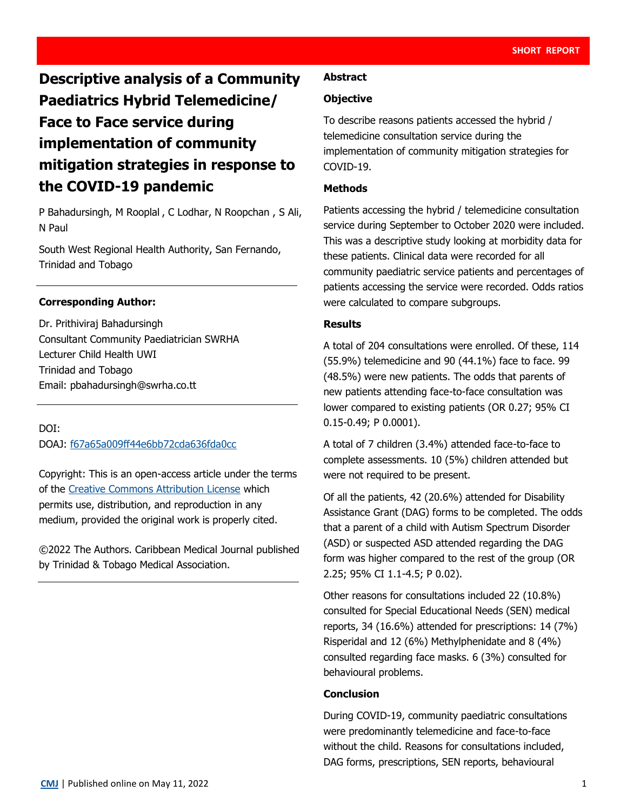# **Descriptive analysis of a Community Paediatrics Hybrid Telemedicine/ Face to Face service during implementation of community mitigation strategies in response to the COVID-19 pandemic**

P Bahadursingh, M Rooplal , C Lodhar, N Roopchan , S Ali, N Paul

South West Regional Health Authority, San Fernando, Trinidad and Tobago

## **Corresponding Author:**

Dr. Prithiviraj Bahadursingh Consultant Community Paediatrician SWRHA Lecturer Child Health UWI Trinidad and Tobago Email: pbahadursingh@swrha.co.tt

DOI:

DOAJ: [f67a65a009ff44e6bb72cda636fda0cc](https://doaj.org/article/f67a65a009ff44e6bb72cda636fda0cc)

Copyright: This is an open-access article under the terms of the [Creative Commons Attribution License](https://creativecommons.org/licenses/by/4.0/) which permits use, distribution, and reproduction in any medium, provided the original work is properly cited.

©2022 The Authors. Caribbean Medical Journal published by Trinidad & Tobago Medical Association.

#### **Abstract**

#### **Objective**

To describe reasons patients accessed the hybrid / telemedicine consultation service during the implementation of community mitigation strategies for COVID-19.

### **Methods**

Patients accessing the hybrid / telemedicine consultation service during September to October 2020 were included. This was a descriptive study looking at morbidity data for these patients. Clinical data were recorded for all community paediatric service patients and percentages of patients accessing the service were recorded. Odds ratios were calculated to compare subgroups.

#### **Results**

A total of 204 consultations were enrolled. Of these, 114 (55.9%) telemedicine and 90 (44.1%) face to face. 99 (48.5%) were new patients. The odds that parents of new patients attending face-to-face consultation was lower compared to existing patients (OR 0.27; 95% CI 0.15-0.49; P 0.0001).

A total of 7 children (3.4%) attended face-to-face to complete assessments. 10 (5%) children attended but were not required to be present.

Of all the patients, 42 (20.6%) attended for Disability Assistance Grant (DAG) forms to be completed. The odds that a parent of a child with Autism Spectrum Disorder (ASD) or suspected ASD attended regarding the DAG form was higher compared to the rest of the group (OR 2.25; 95% CI 1.1-4.5; P 0.02).

Other reasons for consultations included 22 (10.8%) consulted for Special Educational Needs (SEN) medical reports, 34 (16.6%) attended for prescriptions: 14 (7%) Risperidal and 12 (6%) Methylphenidate and 8 (4%) consulted regarding face masks. 6 (3%) consulted for behavioural problems.

#### **Conclusion**

During COVID-19, community paediatric consultations were predominantly telemedicine and face-to-face without the child. Reasons for consultations included, DAG forms, prescriptions, SEN reports, behavioural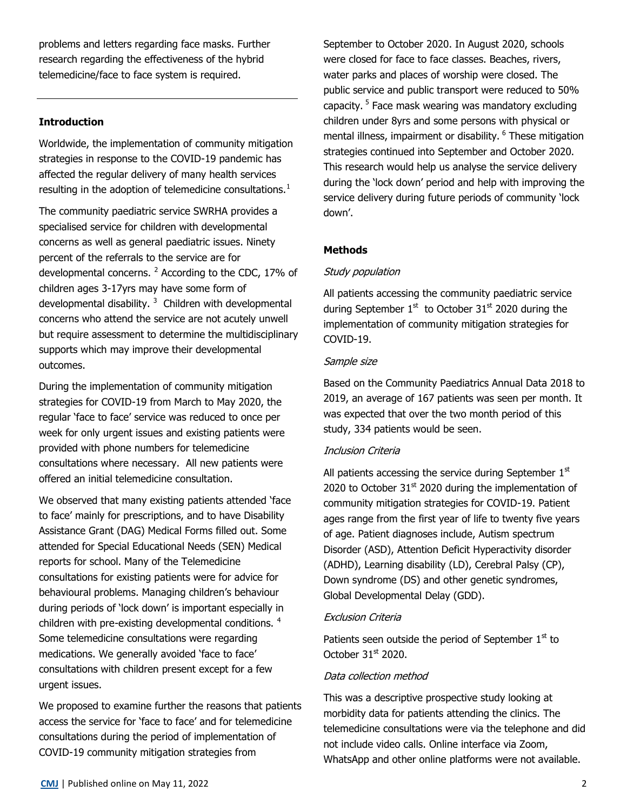problems and letters regarding face masks. Further research regarding the effectiveness of the hybrid telemedicine/face to face system is required.

## **Introduction**

Worldwide, the implementation of community mitigation strategies in response to the COVID-19 pandemic has affected the regular delivery of many health services resulting in the adoption of telemedicine consultations.<sup>1</sup>

The community paediatric service SWRHA provides a specialised service for children with developmental concerns as well as general paediatric issues. Ninety percent of the referrals to the service are for developmental concerns. <sup>2</sup> According to the CDC, 17% of children ages 3-17yrs may have some form of developmental disability.<sup>3</sup> Children with developmental concerns who attend the service are not acutely unwell but require assessment to determine the multidisciplinary supports which may improve their developmental outcomes.

During the implementation of community mitigation strategies for COVID-19 from March to May 2020, the regular 'face to face' service was reduced to once per week for only urgent issues and existing patients were provided with phone numbers for telemedicine consultations where necessary. All new patients were offered an initial telemedicine consultation.

We observed that many existing patients attended 'face to face' mainly for prescriptions, and to have Disability Assistance Grant (DAG) Medical Forms filled out. Some attended for Special Educational Needs (SEN) Medical reports for school. Many of the Telemedicine consultations for existing patients were for advice for behavioural problems. Managing children's behaviour during periods of 'lock down' is important especially in children with pre-existing developmental conditions. <sup>4</sup> Some telemedicine consultations were regarding medications. We generally avoided 'face to face' consultations with children present except for a few urgent issues.

We proposed to examine further the reasons that patients access the service for 'face to face' and for telemedicine consultations during the period of implementation of COVID-19 community mitigation strategies from

September to October 2020. In August 2020, schools were closed for face to face classes. Beaches, rivers, water parks and places of worship were closed. The public service and public transport were reduced to 50% capacity. <sup>5</sup> Face mask wearing was mandatory excluding children under 8yrs and some persons with physical or mental illness, impairment or disability. <sup>6</sup> These mitigation strategies continued into September and October 2020. This research would help us analyse the service delivery during the 'lock down' period and help with improving the service delivery during future periods of community 'lock down'.

# **Methods**

## Study population

All patients accessing the community paediatric service during September  $1<sup>st</sup>$  to October 31 $<sup>st</sup>$  2020 during the</sup> implementation of community mitigation strategies for COVID-19.

## Sample size

Based on the Community Paediatrics Annual Data 2018 to 2019, an average of 167 patients was seen per month. It was expected that over the two month period of this study, 334 patients would be seen.

# Inclusion Criteria

All patients accessing the service during September  $1<sup>st</sup>$ 2020 to October  $31<sup>st</sup>$  2020 during the implementation of community mitigation strategies for COVID-19. Patient ages range from the first year of life to twenty five years of age. Patient diagnoses include, Autism spectrum Disorder (ASD), Attention Deficit Hyperactivity disorder (ADHD), Learning disability (LD), Cerebral Palsy (CP), Down syndrome (DS) and other genetic syndromes, Global Developmental Delay (GDD).

## Exclusion Criteria

Patients seen outside the period of September  $1<sup>st</sup>$  to October  $31<sup>st</sup>$  2020.

## Data collection method

This was a descriptive prospective study looking at morbidity data for patients attending the clinics. The telemedicine consultations were via the telephone and did not include video calls. Online interface via Zoom, WhatsApp and other online platforms were not available.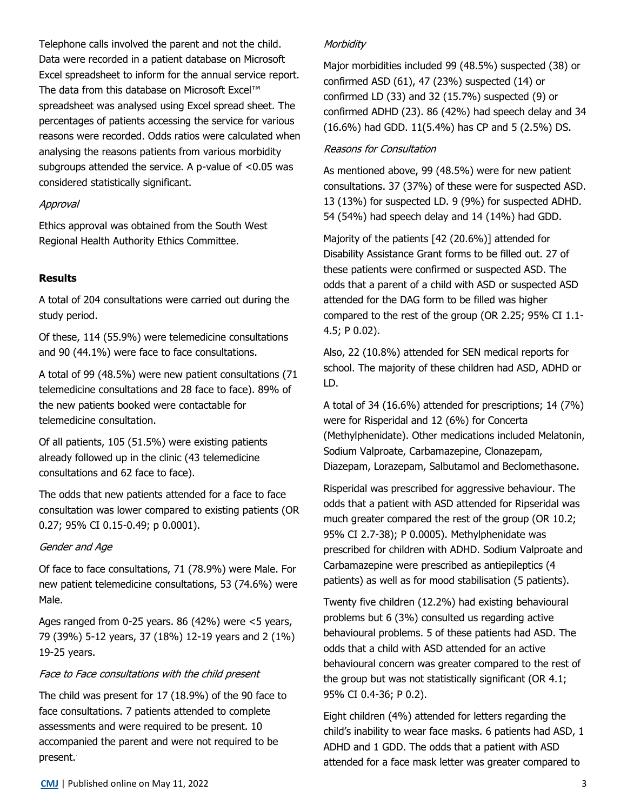Telephone calls involved the parent and not the child. Data were recorded in a patient database on Microsoft Excel spreadsheet to inform for the annual service report. The data from this database on Microsoft Excel™ spreadsheet was analysed using Excel spread sheet. The percentages of patients accessing the service for various reasons were recorded. Odds ratios were calculated when analysing the reasons patients from various morbidity subgroups attended the service. A p-value of <0.05 was considered statistically significant.

#### Approval

Ethics approval was obtained from the South West Regional Health Authority Ethics Committee.

## **Results**

A total of 204 consultations were carried out during the study period.

Of these, 114 (55.9%) were telemedicine consultations and 90 (44.1%) were face to face consultations.

A total of 99 (48.5%) were new patient consultations (71 telemedicine consultations and 28 face to face). 89% of the new patients booked were contactable for telemedicine consultation.

Of all patients, 105 (51.5%) were existing patients already followed up in the clinic (43 telemedicine consultations and 62 face to face).

The odds that new patients attended for a face to face consultation was lower compared to existing patients (OR 0.27; 95% CI 0.15-0.49; p 0.0001).

#### Gender and Age

Of face to face consultations, 71 (78.9%) were Male. For new patient telemedicine consultations, 53 (74.6%) were Male.

Ages ranged from 0-25 years. 86 (42%) were <5 years, 79 (39%) 5-12 years, 37 (18%) 12-19 years and 2 (1%) 19-25 years.

#### Face to Face consultations with the child present

The child was present for 17 (18.9%) of the 90 face to face consultations. 7 patients attended to complete assessments and were required to be present. 10 accompanied the parent and were not required to be present.

### **Morbidity**

Major morbidities included 99 (48.5%) suspected (38) or confirmed ASD (61), 47 (23%) suspected (14) or confirmed LD (33) and 32 (15.7%) suspected (9) or confirmed ADHD (23). 86 (42%) had speech delay and 34 (16.6%) had GDD. 11(5.4%) has CP and 5 (2.5%) DS.

## Reasons for Consultation

As mentioned above, 99 (48.5%) were for new patient consultations. 37 (37%) of these were for suspected ASD. 13 (13%) for suspected LD. 9 (9%) for suspected ADHD. 54 (54%) had speech delay and 14 (14%) had GDD.

Majority of the patients [42 (20.6%)] attended for Disability Assistance Grant forms to be filled out. 27 of these patients were confirmed or suspected ASD. The odds that a parent of a child with ASD or suspected ASD attended for the DAG form to be filled was higher compared to the rest of the group (OR 2.25; 95% CI 1.1- 4.5; P 0.02).

Also, 22 (10.8%) attended for SEN medical reports for school. The majority of these children had ASD, ADHD or LD.

A total of 34 (16.6%) attended for prescriptions; 14 (7%) were for Risperidal and 12 (6%) for Concerta (Methylphenidate). Other medications included Melatonin, Sodium Valproate, Carbamazepine, Clonazepam, Diazepam, Lorazepam, Salbutamol and Beclomethasone.

Risperidal was prescribed for aggressive behaviour. The odds that a patient with ASD attended for Ripseridal was much greater compared the rest of the group (OR 10.2; 95% CI 2.7-38); P 0.0005). Methylphenidate was prescribed for children with ADHD. Sodium Valproate and Carbamazepine were prescribed as antiepileptics (4 patients) as well as for mood stabilisation (5 patients).

Twenty five children (12.2%) had existing behavioural problems but 6 (3%) consulted us regarding active behavioural problems. 5 of these patients had ASD. The odds that a child with ASD attended for an active behavioural concern was greater compared to the rest of the group but was not statistically significant (OR 4.1; 95% CI 0.4-36; P 0.2).

Eight children (4%) attended for letters regarding the child's inability to wear face masks. 6 patients had ASD, 1 ADHD and 1 GDD. The odds that a patient with ASD attended for a face mask letter was greater compared to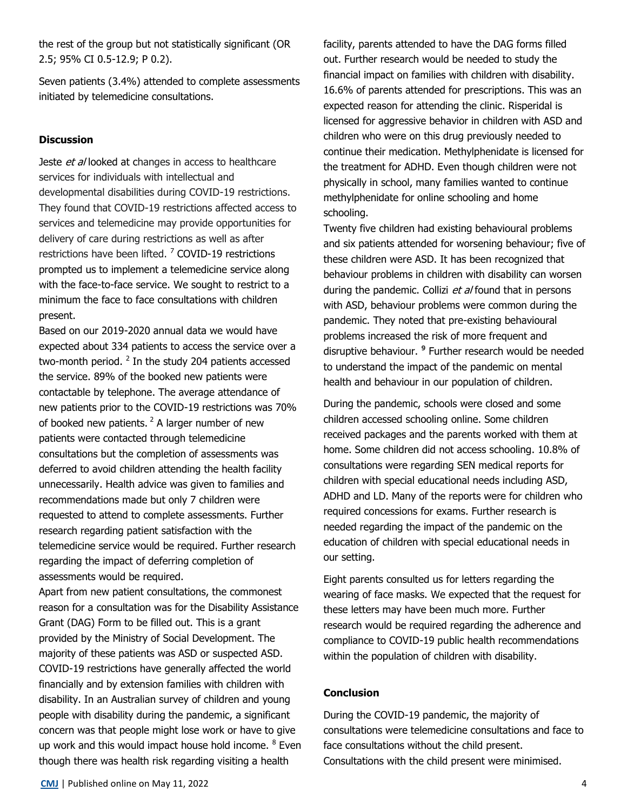the rest of the group but not statistically significant (OR 2.5; 95% CI 0.5-12.9; P 0.2).

Seven patients (3.4%) attended to complete assessments initiated by telemedicine consultations.

## **Discussion**

Jeste et al looked at changes in access to healthcare services for individuals with intellectual and developmental disabilities during COVID‐19 restrictions. They found that COVID‐19 restrictions affected access to services and telemedicine may provide opportunities for delivery of care during restrictions as well as after restrictions have been lifted. <sup>7</sup> COVID-19 restrictions prompted us to implement a telemedicine service along with the face-to-face service. We sought to restrict to a minimum the face to face consultations with children present.

Based on our 2019-2020 annual data we would have expected about 334 patients to access the service over a two-month period.  $^2$  In the study 204 patients accessed the service. 89% of the booked new patients were contactable by telephone. The average attendance of new patients prior to the COVID-19 restrictions was 70% of booked new patients.  $2$  A larger number of new patients were contacted through telemedicine consultations but the completion of assessments was deferred to avoid children attending the health facility unnecessarily. Health advice was given to families and recommendations made but only 7 children were requested to attend to complete assessments. Further research regarding patient satisfaction with the telemedicine service would be required. Further research regarding the impact of deferring completion of assessments would be required.

Apart from new patient consultations, the commonest reason for a consultation was for the Disability Assistance Grant (DAG) Form to be filled out. This is a grant provided by the Ministry of Social Development. The majority of these patients was ASD or suspected ASD. COVID-19 restrictions have generally affected the world financially and by extension families with children with disability. In an Australian survey of children and young people with disability during the pandemic, a significant concern was that people might lose work or have to give up work and this would impact house hold income. <sup>8</sup> Even though there was health risk regarding visiting a health

facility, parents attended to have the DAG forms filled out. Further research would be needed to study the financial impact on families with children with disability. 16.6% of parents attended for prescriptions. This was an expected reason for attending the clinic. Risperidal is licensed for aggressive behavior in children with ASD and children who were on this drug previously needed to continue their medication. Methylphenidate is licensed for the treatment for ADHD. Even though children were not physically in school, many families wanted to continue methylphenidate for online schooling and home schooling.

Twenty five children had existing behavioural problems and six patients attended for worsening behaviour; five of these children were ASD. It has been recognized that behaviour problems in children with disability can worsen during the pandemic. Collizi et al found that in persons with ASD, behaviour problems were common during the pandemic. They noted that pre-existing behavioural problems increased the risk of more frequent and disruptive behaviour. **<sup>9</sup>** Further research would be needed to understand the impact of the pandemic on mental health and behaviour in our population of children.

During the pandemic, schools were closed and some children accessed schooling online. Some children received packages and the parents worked with them at home. Some children did not access schooling. 10.8% of consultations were regarding SEN medical reports for children with special educational needs including ASD, ADHD and LD. Many of the reports were for children who required concessions for exams. Further research is needed regarding the impact of the pandemic on the education of children with special educational needs in our setting.

Eight parents consulted us for letters regarding the wearing of face masks. We expected that the request for these letters may have been much more. Further research would be required regarding the adherence and compliance to COVID-19 public health recommendations within the population of children with disability.

## **Conclusion**

During the COVID-19 pandemic, the majority of consultations were telemedicine consultations and face to face consultations without the child present. Consultations with the child present were minimised.